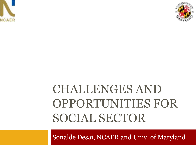



# CHALLENGES AND OPPORTUNITIES FOR SOCIAL SECTOR

Sonalde Desai, NCAER and Univ. of Maryland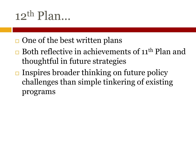# $12^{\text{th}}$  Plan

- $\Box$  One of the best written plans
- $\Box$  Both reflective in achievements of 11<sup>th</sup> Plan and thoughtful in future strategies
- $\Box$  Inspires broader thinking on future policy challenges than simple tinkering of existing programs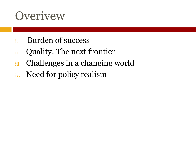# **Overivew**

- i. Burden of success
- ii. Quality: The next frontier
- iii. Challenges in a changing world
- iv. Need for policy realism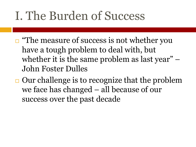# I. The Burden of Success

- $\Box$  "The measure of success is not whether you have a tough problem to deal with, but whether it is the same problem as last year" – John Foster Dulles
- $\Box$  Our challenge is to recognize that the problem we face has changed – all because of our success over the past decade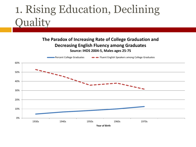### 1. Rising Education, Declining **Quality**

#### **The Paradox of Increasing Rate of College Graduation and Decreasing English Fluency among Graduates Source: IHDS 2004-5, Males ages 25-75**

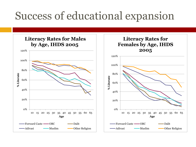### Success of educational expansion

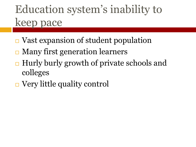## Education system's inability to keep pace

- $\Box$  Vast expansion of student population
- **□ Many first generation learners**
- $\Box$  Hurly burly growth of private schools and colleges
- **□** Very little quality control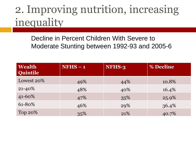### 2. Improving nutrition, increasing inequality

Decline in Percent Children With Severe to Moderate Stunting between 1992-93 and 2005-6

| <b>Wealth</b><br>Quintile | $NFHS - 1$ | NFHS-3 | % Decline |
|---------------------------|------------|--------|-----------|
| Lowest 20%                | 49%        | 44%    | 10.8%     |
| $21 - 40\%$               | 48%        | 40%    | 16.4%     |
| 41-60%                    | 47%        | 35%    | 25.9%     |
| 61-80%                    | 46%        | 29%    | 36.4%     |
| Top 20%                   | 35%        | 21%    | 40.7%     |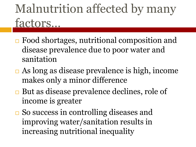# Malnutrition affected by many factors…

- **□** Food shortages, nutritional composition and disease prevalence due to poor water and sanitation
- As long as disease prevalence is high, income makes only a minor difference
- **□** But as disease prevalence declines, role of income is greater
- **□** So success in controlling diseases and improving water/sanitation results in increasing nutritional inequality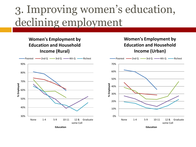### 3. Improving women's education, declining employment

#### **Women's Employment by Education and Household Income (Rural)**



#### **Women's Employment by Education and Household Income (Urban)**



**Education**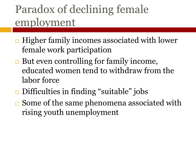## Paradox of declining female employment

- $\Box$  Higher family incomes associated with lower female work participation
- $\Box$  But even controlling for family income, educated women tend to withdraw from the labor force
- **□** Difficulties in finding "suitable" jobs
- $\square$  Some of the same phenomena associated with rising youth unemployment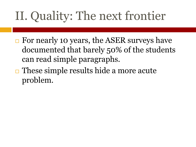# II. Quality: The next frontier

- **□** For nearly 10 years, the ASER surveys have documented that barely 50% of the students can read simple paragraphs.
- $\Box$  These simple results hide a more acute problem.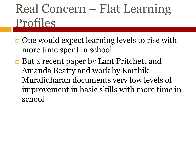# Real Concern – Flat Learning Profiles

- $\Box$  One would expect learning levels to rise with more time spent in school
- **□ But a recent paper by Lant Pritchett and** Amanda Beatty and work by Karthik Muralidharan documents very low levels of improvement in basic skills with more time in school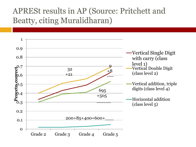#### APRESt results in AP (Source: Pritchett and Beatty, citing Muralidharan)

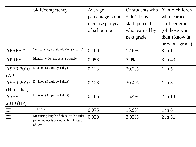|                  | Skill/competency                                                                            | Average           | Of students who | X in Y children |
|------------------|---------------------------------------------------------------------------------------------|-------------------|-----------------|-----------------|
|                  |                                                                                             | percentage point  | didn't know     | who learned     |
|                  |                                                                                             | increase per year | skill, percent  | skill per grade |
|                  |                                                                                             | of schooling      | who learned by  | (of those who   |
|                  |                                                                                             |                   | next grade      | didn't know in  |
|                  |                                                                                             |                   |                 | previous grade) |
| APRESt*          | Vertical single digit addition (w carry)                                                    | 0.100             | 17.6%           | $3$ in 17       |
| <b>APRESt</b>    | Identify which shape is a triangle                                                          | 0.053             | 7.0%            | $3$ in 43       |
| <b>ASER 2010</b> | Division (3 digit by 1 digit)                                                               | 0.113             | 20.2%           | $1$ in $5$      |
| (AP)             |                                                                                             |                   |                 |                 |
| <b>ASER 2010</b> | Division (3 digit by 1 digit)                                                               | 0.123             | 30.4%           | $1$ in $3$      |
| (Himachal)       |                                                                                             |                   |                 |                 |
| <b>ASER</b>      | Division (3 digit by 1 digit)                                                               | 0.105             | 15.4%           | $2$ in 13       |
| 2010 (UP)        |                                                                                             |                   |                 |                 |
| EI               | $19 + X = 32$                                                                               | 0.075             | 16.9%           | $1$ in $6$      |
| EI               | Measuring length of object with a ruler<br>(when object is placed at 1cm instead<br>of 0cm) | 0.029             | 3.93%           | $2$ in $51$     |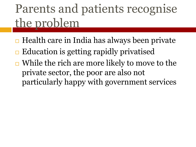# Parents and patients recognise the problem

- $\Box$  Health care in India has always been private
- $\Box$  Education is getting rapidly privatised
- $\Box$  While the rich are more likely to move to the private sector, the poor are also not particularly happy with government services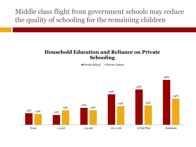Middle class flight from government schools may reduce the quality of schooling for the remaining children

#### **Household Education and Reliance on Private Schooling**

**Private School Private Tuition** 

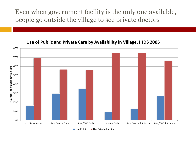Even when government facility is the only one available, people go outside the village to see private doctors



**Use of Public and Private Care by Availability in Village, IHDS 2005**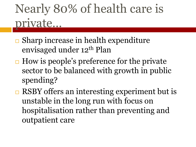# Nearly 80% of health care is private…

- $\Box$  Sharp increase in health expenditure envisaged under 12<sup>th</sup> Plan
- $\Box$  How is people's preference for the private sector to be balanced with growth in public spending?
- $\Box$  RSBY offers an interesting experiment but is unstable in the long run with focus on hospitalisation rather than preventing and outpatient care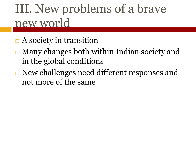# III. New problems of a brave new world

- $\Box$  A society in transition
- $\Box$  Many changes both within Indian society and in the global conditions
- **□** New challenges need different responses and not more of the same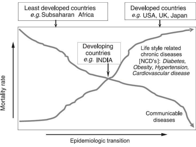

Mortality rate

Epidemiologic transition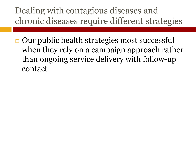#### Dealing with contagious diseases and chronic diseases require different strategies

 $\Box$  Our public health strategies most successful when they rely on a campaign approach rather than ongoing service delivery with follow-up contact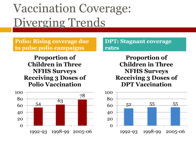# Vaccination Coverage: Diverging Trends

**Polio: Rising coverage due to pulse polio campaigns**

**DPT: Stagnant coverage rates**

**Proportion of Children in Three NFHS Surveys Receiving 3 Doses of Polio Vaccination**



**Proportion of Children in Three NFHS Surveys Receiving 3 Doses of DPT Vaccination**

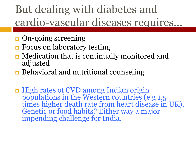## But dealing with diabetes and cardio-vascular diseases requires…

- $\Box$  On-going screening
- $\Box$  Focus on laboratory testing
- $\Box$  Medication that is continually monitored and adjusted
- $\Box$  Behavioral and nutritional counseling
- □ High rates of CVD among Indian origin populations in the Western countries (e.g 1.5 times higher death rate from heart disease in UK). Genetic or food habits? Either way a major impending challenge for India.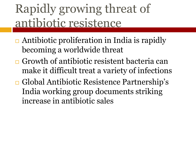# Rapidly growing threat of antibiotic resistence

- $\Box$  Antibiotic proliferation in India is rapidly becoming a worldwide threat
- $\Box$  Growth of antibiotic resistent bacteria can make it difficult treat a variety of infections
- Global Antibiotic Resistence Partnership's India working group documents striking increase in antibiotic sales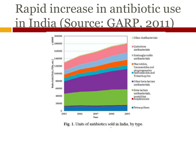# Rapid increase in antibiotic use in India (Source: GARP, 2011)



Fig. 1. Units of antibiotics sold in India, by type.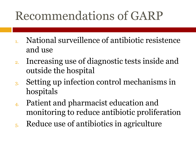# Recommendations of GARP

- 1. National surveillence of antibiotic resistence and use
- 2. Increasing use of diagnostic tests inside and outside the hospital
- 3. Setting up infection control mechanisms in hospitals
- 4. Patient and pharmacist education and monitoring to reduce antibiotic proliferation
- 5. Reduce use of antibiotics in agriculture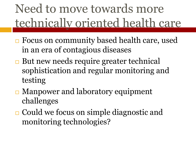# Need to move towards more technically oriented health care

- **□** Focus on community based health care, used in an era of contagious diseases
- But new needs require greater technical sophistication and regular monitoring and testing
- **□ Manpower and laboratory equipment** challenges
- **□ Could we focus on simple diagnostic and** monitoring technologies?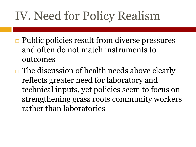# IV. Need for Policy Realism

- $\Box$  Public policies result from diverse pressures and often do not match instruments to outcomes
- $\Box$  The discussion of health needs above clearly reflects greater need for laboratory and technical inputs, yet policies seem to focus on strengthening grass roots community workers rather than laboratories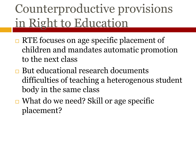# Counterproductive provisions in Right to Education

- **□ RTE focuses on age specific placement of** children and mandates automatic promotion to the next class
- **□** But educational research documents difficulties of teaching a heterogenous student body in the same class
- **□ What do we need? Skill or age specific** placement?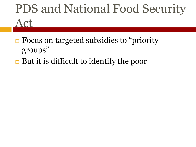# PDS and National Food Security Act

- **□** Focus on targeted subsidies to "priority" groups"
- $\Box$  But it is difficult to identify the poor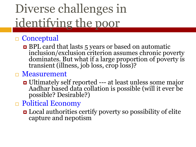# Diverse challenges in identifying the poor

#### □ Conceptual

■ BPL card that lasts 5 years or based on automatic inclusion/exclusion criterion assumes chronic poverty dominates. But what if a large proportion of poverty is transient (illness, job loss, crop loss)?

#### □ Measurement

- Ultimately self reported --- at least unless some major Aadhar based data collation is possible (will it ever be possible? Desirable?)
- □ Political Economy
	- **□** Local authorities certify poverty so possibility of elite capture and nepotism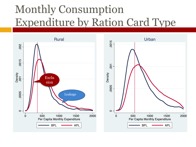## Monthly Consumption Expenditure by Ration Card Type



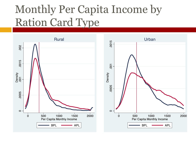## Monthly Per Capita Income by Ration Card Type

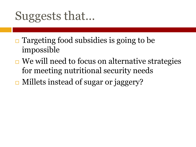# Suggests that…

- $\Box$  Targeting food subsidies is going to be impossible
- $\Box$  We will need to focus on alternative strategies for meeting nutritional security needs
- **□ Millets instead of sugar or jaggery?**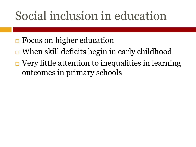# Social inclusion in education

- **□** Focus on higher education
- **□ When skill deficits begin in early childhood**
- $\Box$  Very little attention to inequalities in learning outcomes in primary schools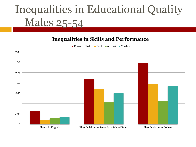## Inequalities in Educational Quality – Males 25-54

#### **Inequalities in Skills and Performance**

Forward Caste **Dalit Adivasi** Muslim

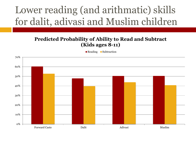#### Lower reading (and arithmatic) skills for dalit, adivasi and Muslim children

#### **Predicted Probability of Ability to Read and Subtract (Kids ages 8-11)**

**Reading Subtraction**